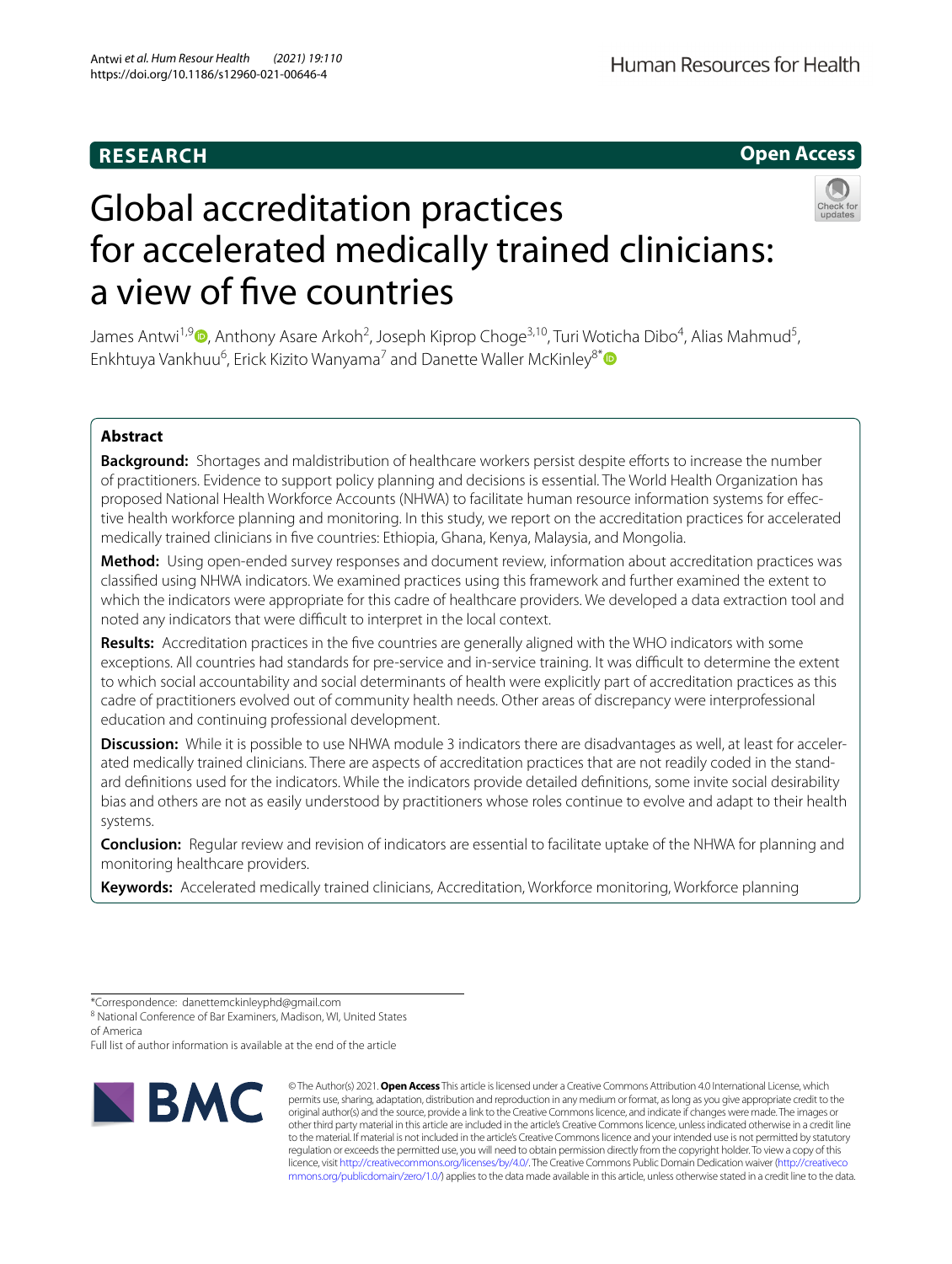# **RESEARCH**

# **Open Access**



# Global accreditation practices for accelerated medically trained clinicians: a view of fve countries

James Antwi<sup>1,9</sup> D[,](https://orcid.org/0000-0002-2035-0046) Anthony Asare Arkoh<sup>2</sup>, Joseph Kiprop Choge<sup>3,10</sup>, Turi Woticha Dibo<sup>4</sup>, Alias Mahmud<sup>5</sup>, Enkhtuya Vankhuu<sup>6</sup>, Erick Kizito Wanyama<sup>7</sup> and Danette Waller McKinley<sup>8[\\*](http://orcid.org/0000-0002-8709-0365)</sup>

# **Abstract**

Background: Shortages and maldistribution of healthcare workers persist despite efforts to increase the number of practitioners. Evidence to support policy planning and decisions is essential. The World Health Organization has proposed National Health Workforce Accounts (NHWA) to facilitate human resource information systems for efective health workforce planning and monitoring. In this study, we report on the accreditation practices for accelerated medically trained clinicians in fve countries: Ethiopia, Ghana, Kenya, Malaysia, and Mongolia.

**Method:** Using open-ended survey responses and document review, information about accreditation practices was classifed using NHWA indicators. We examined practices using this framework and further examined the extent to which the indicators were appropriate for this cadre of healthcare providers. We developed a data extraction tool and noted any indicators that were difficult to interpret in the local context.

**Results:** Accreditation practices in the fve countries are generally aligned with the WHO indicators with some exceptions. All countries had standards for pre-service and in-service training. It was difcult to determine the extent to which social accountability and social determinants of health were explicitly part of accreditation practices as this cadre of practitioners evolved out of community health needs. Other areas of discrepancy were interprofessional education and continuing professional development.

**Discussion:** While it is possible to use NHWA module 3 indicators there are disadvantages as well, at least for accelerated medically trained clinicians. There are aspects of accreditation practices that are not readily coded in the standard defnitions used for the indicators. While the indicators provide detailed defnitions, some invite social desirability bias and others are not as easily understood by practitioners whose roles continue to evolve and adapt to their health systems.

**Conclusion:** Regular review and revision of indicators are essential to facilitate uptake of the NHWA for planning and monitoring healthcare providers.

**Keywords:** Accelerated medically trained clinicians, Accreditation, Workforce monitoring, Workforce planning

<sup>8</sup> National Conference of Bar Examiners, Madison, WI, United States of America

Full list of author information is available at the end of the article



© The Author(s) 2021. **Open Access** This article is licensed under a Creative Commons Attribution 4.0 International License, which permits use, sharing, adaptation, distribution and reproduction in any medium or format, as long as you give appropriate credit to the original author(s) and the source, provide a link to the Creative Commons licence, and indicate if changes were made. The images or other third party material in this article are included in the article's Creative Commons licence, unless indicated otherwise in a credit line to the material. If material is not included in the article's Creative Commons licence and your intended use is not permitted by statutory regulation or exceeds the permitted use, you will need to obtain permission directly from the copyright holder. To view a copy of this licence, visit [http://creativecommons.org/licenses/by/4.0/.](http://creativecommons.org/licenses/by/4.0/) The Creative Commons Public Domain Dedication waiver ([http://creativeco](http://creativecommons.org/publicdomain/zero/1.0/) [mmons.org/publicdomain/zero/1.0/](http://creativecommons.org/publicdomain/zero/1.0/)) applies to the data made available in this article, unless otherwise stated in a credit line to the data.

<sup>\*</sup>Correspondence: danettemckinleyphd@gmail.com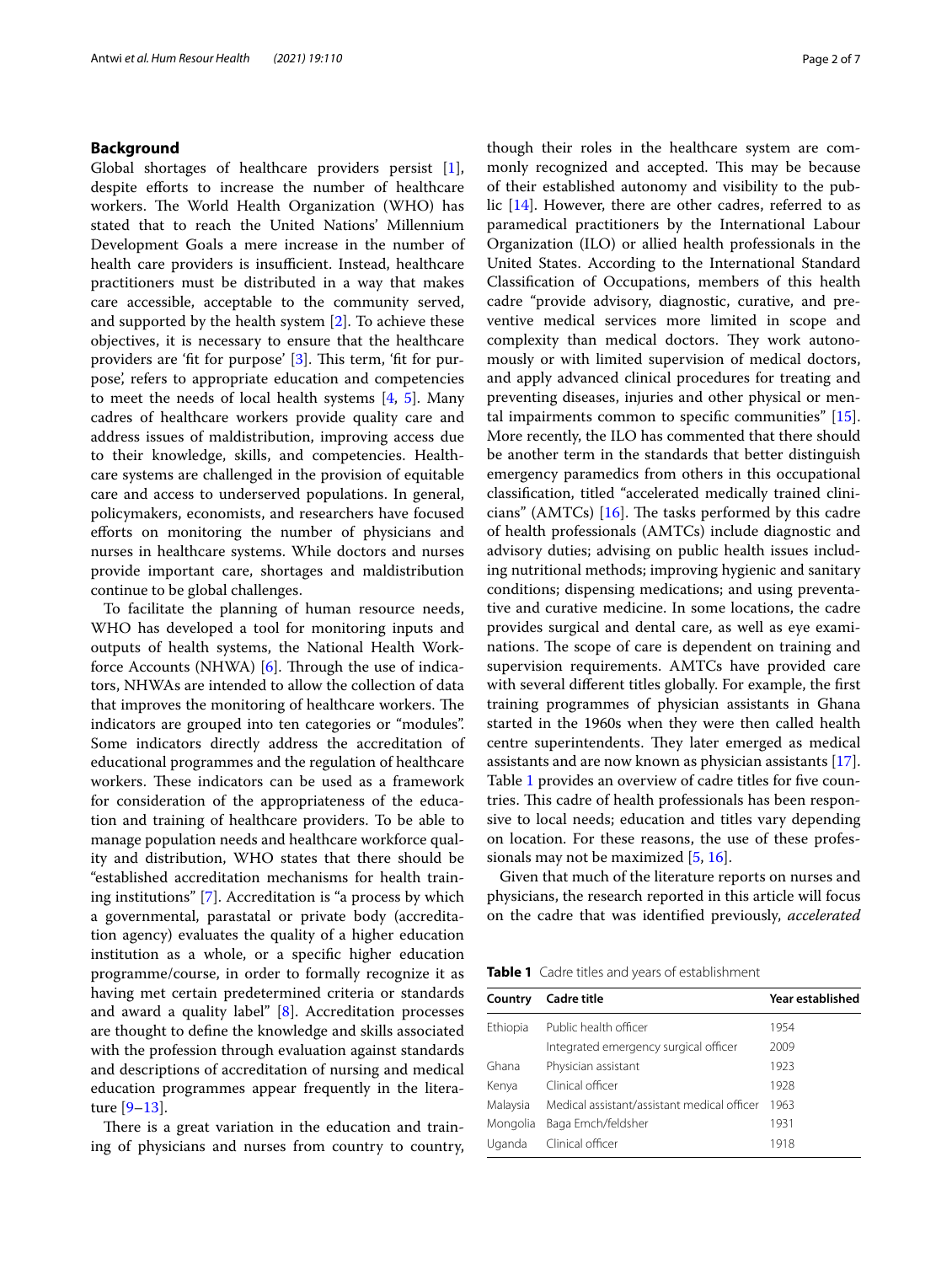# **Background**

Global shortages of healthcare providers persist [\[1](#page-6-0)], despite eforts to increase the number of healthcare workers. The World Health Organization (WHO) has stated that to reach the United Nations' Millennium Development Goals a mere increase in the number of health care providers is insufficient. Instead, healthcare practitioners must be distributed in a way that makes care accessible, acceptable to the community served, and supported by the health system [\[2](#page-6-1)]. To achieve these objectives, it is necessary to ensure that the healthcare providers are 'fit for purpose' [[3\]](#page-6-2). This term, 'fit for purpose', refers to appropriate education and competencies to meet the needs of local health systems [[4,](#page-6-3) [5\]](#page-6-4). Many cadres of healthcare workers provide quality care and address issues of maldistribution, improving access due to their knowledge, skills, and competencies. Healthcare systems are challenged in the provision of equitable care and access to underserved populations. In general, policymakers, economists, and researchers have focused eforts on monitoring the number of physicians and nurses in healthcare systems. While doctors and nurses provide important care, shortages and maldistribution continue to be global challenges.

To facilitate the planning of human resource needs, WHO has developed a tool for monitoring inputs and outputs of health systems, the National Health Workforce Accounts (NHWA)  $[6]$  $[6]$ . Through the use of indicators, NHWAs are intended to allow the collection of data that improves the monitoring of healthcare workers. The indicators are grouped into ten categories or "modules". Some indicators directly address the accreditation of educational programmes and the regulation of healthcare workers. These indicators can be used as a framework for consideration of the appropriateness of the education and training of healthcare providers. To be able to manage population needs and healthcare workforce quality and distribution, WHO states that there should be "established accreditation mechanisms for health training institutions" [\[7](#page-6-6)]. Accreditation is "a process by which a governmental, parastatal or private body (accreditation agency) evaluates the quality of a higher education institution as a whole, or a specifc higher education programme/course, in order to formally recognize it as having met certain predetermined criteria or standards and award a quality label" [\[8](#page-6-7)]. Accreditation processes are thought to defne the knowledge and skills associated with the profession through evaluation against standards and descriptions of accreditation of nursing and medical education programmes appear frequently in the literature [[9–](#page-6-8)[13\]](#page-6-9).

There is a great variation in the education and training of physicians and nurses from country to country, though their roles in the healthcare system are commonly recognized and accepted. This may be because of their established autonomy and visibility to the public [\[14](#page-6-10)]. However, there are other cadres, referred to as paramedical practitioners by the International Labour Organization (ILO) or allied health professionals in the United States. According to the International Standard Classifcation of Occupations, members of this health cadre "provide advisory, diagnostic, curative, and preventive medical services more limited in scope and complexity than medical doctors. They work autonomously or with limited supervision of medical doctors, and apply advanced clinical procedures for treating and preventing diseases, injuries and other physical or mental impairments common to specifc communities" [\[15](#page-6-11)]. More recently, the ILO has commented that there should be another term in the standards that better distinguish emergency paramedics from others in this occupational classifcation, titled "accelerated medically trained clinicians" (AMTCs)  $[16]$  $[16]$ . The tasks performed by this cadre of health professionals (AMTCs) include diagnostic and advisory duties; advising on public health issues including nutritional methods; improving hygienic and sanitary conditions; dispensing medications; and using preventative and curative medicine. In some locations, the cadre provides surgical and dental care, as well as eye examinations. The scope of care is dependent on training and supervision requirements. AMTCs have provided care with several diferent titles globally. For example, the frst training programmes of physician assistants in Ghana started in the 1960s when they were then called health centre superintendents. They later emerged as medical assistants and are now known as physician assistants [\[17](#page-6-13)]. Table [1](#page-1-0) provides an overview of cadre titles for five countries. This cadre of health professionals has been responsive to local needs; education and titles vary depending on location. For these reasons, the use of these professionals may not be maximized [\[5](#page-6-4), [16\]](#page-6-12).

Given that much of the literature reports on nurses and physicians, the research reported in this article will focus on the cadre that was identifed previously, *accelerated* 

<span id="page-1-0"></span>**Table 1** Cadre titles and years of establishment

| Country  | <b>Cadre title</b>                          | Year established |  |  |
|----------|---------------------------------------------|------------------|--|--|
| Ethiopia | Public health officer                       | 1954             |  |  |
|          | Integrated emergency surgical officer       | 2009             |  |  |
| Ghana    | Physician assistant                         | 1923             |  |  |
| Kenya    | Clinical officer                            | 1928             |  |  |
| Malaysia | Medical assistant/assistant medical officer | 1963             |  |  |
| Mongolia | Baga Emch/feldsher                          | 1931             |  |  |
| Uganda   | Clinical officer                            | 1918             |  |  |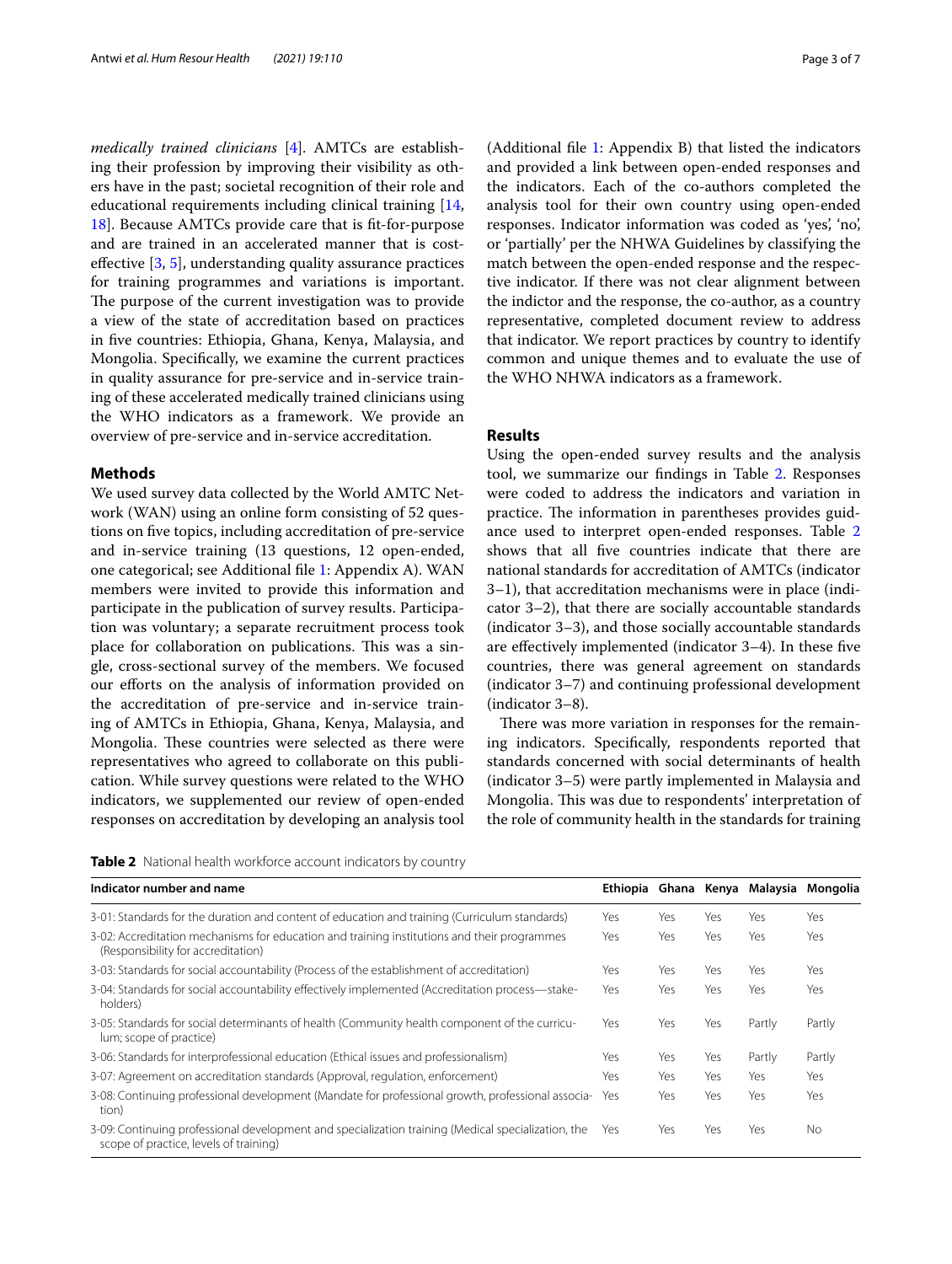*medically trained clinicians* [\[4](#page-6-3)]. AMTCs are establishing their profession by improving their visibility as others have in the past; societal recognition of their role and educational requirements including clinical training [\[14](#page-6-10), [18\]](#page-6-14). Because AMTCs provide care that is ft-for-purpose and are trained in an accelerated manner that is costefective [\[3](#page-6-2), [5](#page-6-4)], understanding quality assurance practices for training programmes and variations is important. The purpose of the current investigation was to provide a view of the state of accreditation based on practices in fve countries: Ethiopia, Ghana, Kenya, Malaysia, and Mongolia. Specifcally, we examine the current practices in quality assurance for pre-service and in-service training of these accelerated medically trained clinicians using the WHO indicators as a framework. We provide an overview of pre-service and in-service accreditation.

### **Methods**

We used survey data collected by the World AMTC Network (WAN) using an online form consisting of 52 questions on fve topics, including accreditation of pre-service and in-service training (13 questions, 12 open-ended, one categorical; see Additional fle [1:](#page-6-15) Appendix A). WAN members were invited to provide this information and participate in the publication of survey results. Participation was voluntary; a separate recruitment process took place for collaboration on publications. This was a single, cross-sectional survey of the members. We focused our efforts on the analysis of information provided on the accreditation of pre-service and in-service training of AMTCs in Ethiopia, Ghana, Kenya, Malaysia, and Mongolia. These countries were selected as there were representatives who agreed to collaborate on this publication. While survey questions were related to the WHO indicators, we supplemented our review of open-ended responses on accreditation by developing an analysis tool (Additional fle [1](#page-6-15): Appendix B) that listed the indicators and provided a link between open-ended responses and the indicators. Each of the co-authors completed the analysis tool for their own country using open-ended responses. Indicator information was coded as 'yes', 'no', or 'partially' per the NHWA Guidelines by classifying the match between the open-ended response and the respective indicator. If there was not clear alignment between the indictor and the response, the co-author, as a country representative, completed document review to address that indicator. We report practices by country to identify common and unique themes and to evaluate the use of the WHO NHWA indicators as a framework.

# **Results**

Using the open-ended survey results and the analysis tool, we summarize our fndings in Table [2.](#page-2-0) Responses were coded to address the indicators and variation in practice. The information in parentheses provides guidance used to interpret open-ended responses. Table [2](#page-2-0) shows that all fve countries indicate that there are national standards for accreditation of AMTCs (indicator 3–1), that accreditation mechanisms were in place (indicator 3–2), that there are socially accountable standards (indicator 3–3), and those socially accountable standards are efectively implemented (indicator 3–4). In these fve countries, there was general agreement on standards (indicator 3–7) and continuing professional development (indicator 3–8).

There was more variation in responses for the remaining indicators. Specifcally, respondents reported that standards concerned with social determinants of health (indicator 3–5) were partly implemented in Malaysia and Mongolia. This was due to respondents' interpretation of the role of community health in the standards for training

<span id="page-2-0"></span>

| <b>Table 2</b> National health workforce account indicators by country |  |
|------------------------------------------------------------------------|--|
|------------------------------------------------------------------------|--|

| Indicator number and name                                                                                                                    |     |     |     | Ethiopia Ghana Kenya Malaysia | Mongolia  |
|----------------------------------------------------------------------------------------------------------------------------------------------|-----|-----|-----|-------------------------------|-----------|
| 3-01: Standards for the duration and content of education and training (Curriculum standards)                                                | Yes | Yes | Yes | Yes                           | Yes       |
| 3-02: Accreditation mechanisms for education and training institutions and their programmes<br>(Responsibility for accreditation)            | Yes | Yes | Yes | Yes                           | Yes       |
| 3-03: Standards for social accountability (Process of the establishment of accreditation)                                                    | Yes | Yes | Yes | Yes                           | Yes       |
| 3-04: Standards for social accountability effectively implemented (Accreditation process-stake-<br>holders)                                  | Yes | Yes | Yes | Yes                           | Yes       |
| 3-05: Standards for social determinants of health (Community health component of the curricu-<br>lum; scope of practice)                     | Yes | Yes | Yes | Partly                        | Partly    |
| 3-06: Standards for interprofessional education (Ethical issues and professionalism)                                                         | Yes | Yes | Yes | Partly                        | Partly    |
| 3-07: Agreement on accreditation standards (Approval, regulation, enforcement)                                                               | Yes | Yes | Yes | Yes                           | Yes       |
| 3-08: Continuing professional development (Mandate for professional growth, professional associa-<br>tion)                                   | Yes | Yes | Yes | Yes                           | Yes       |
| 3-09: Continuing professional development and specialization training (Medical specialization, the<br>scope of practice, levels of training) | Yes | Yes | Yes | Yes                           | <b>No</b> |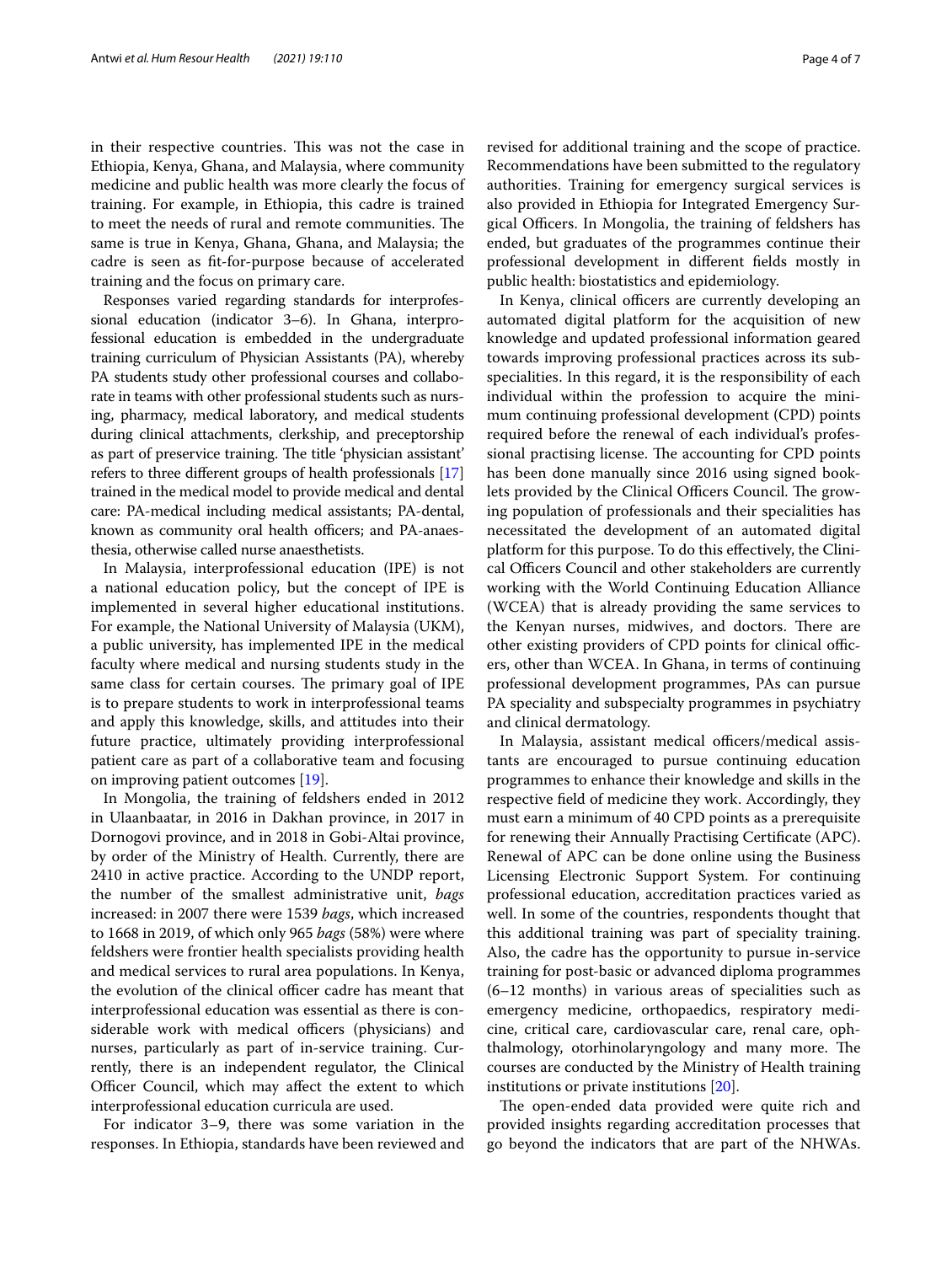in their respective countries. This was not the case in Ethiopia, Kenya, Ghana, and Malaysia, where community medicine and public health was more clearly the focus of training. For example, in Ethiopia, this cadre is trained to meet the needs of rural and remote communities. The same is true in Kenya, Ghana, Ghana, and Malaysia; the cadre is seen as ft-for-purpose because of accelerated training and the focus on primary care.

Responses varied regarding standards for interprofessional education (indicator 3–6). In Ghana, interprofessional education is embedded in the undergraduate training curriculum of Physician Assistants (PA), whereby PA students study other professional courses and collaborate in teams with other professional students such as nursing, pharmacy, medical laboratory, and medical students during clinical attachments, clerkship, and preceptorship as part of preservice training. The title 'physician assistant' refers to three diferent groups of health professionals [[17](#page-6-13)] trained in the medical model to provide medical and dental care: PA-medical including medical assistants; PA-dental, known as community oral health officers; and PA-anaesthesia, otherwise called nurse anaesthetists.

In Malaysia, interprofessional education (IPE) is not a national education policy, but the concept of IPE is implemented in several higher educational institutions. For example, the National University of Malaysia (UKM), a public university, has implemented IPE in the medical faculty where medical and nursing students study in the same class for certain courses. The primary goal of IPE is to prepare students to work in interprofessional teams and apply this knowledge, skills, and attitudes into their future practice, ultimately providing interprofessional patient care as part of a collaborative team and focusing on improving patient outcomes [\[19](#page-6-16)].

In Mongolia, the training of feldshers ended in 2012 in Ulaanbaatar, in 2016 in Dakhan province, in 2017 in Dornogovi province, and in 2018 in Gobi-Altai province, by order of the Ministry of Health. Currently, there are 2410 in active practice. According to the UNDP report, the number of the smallest administrative unit, *bags* increased: in 2007 there were 1539 *bags*, which increased to 1668 in 2019, of which only 965 *bags* (58%) were where feldshers were frontier health specialists providing health and medical services to rural area populations. In Kenya, the evolution of the clinical officer cadre has meant that interprofessional education was essential as there is considerable work with medical officers (physicians) and nurses, particularly as part of in-service training. Currently, there is an independent regulator, the Clinical Officer Council, which may affect the extent to which interprofessional education curricula are used.

For indicator 3–9, there was some variation in the responses. In Ethiopia, standards have been reviewed and revised for additional training and the scope of practice. Recommendations have been submitted to the regulatory authorities. Training for emergency surgical services is also provided in Ethiopia for Integrated Emergency Surgical Officers. In Mongolia, the training of feldshers has ended, but graduates of the programmes continue their professional development in diferent felds mostly in public health: biostatistics and epidemiology.

In Kenya, clinical officers are currently developing an automated digital platform for the acquisition of new knowledge and updated professional information geared towards improving professional practices across its subspecialities. In this regard, it is the responsibility of each individual within the profession to acquire the minimum continuing professional development (CPD) points required before the renewal of each individual's professional practising license. The accounting for CPD points has been done manually since 2016 using signed booklets provided by the Clinical Officers Council. The growing population of professionals and their specialities has necessitated the development of an automated digital platform for this purpose. To do this efectively, the Clinical Officers Council and other stakeholders are currently working with the World Continuing Education Alliance (WCEA) that is already providing the same services to the Kenyan nurses, midwives, and doctors. There are other existing providers of CPD points for clinical officers, other than WCEA. In Ghana, in terms of continuing professional development programmes, PAs can pursue PA speciality and subspecialty programmes in psychiatry and clinical dermatology.

In Malaysia, assistant medical officers/medical assistants are encouraged to pursue continuing education programmes to enhance their knowledge and skills in the respective feld of medicine they work. Accordingly, they must earn a minimum of 40 CPD points as a prerequisite for renewing their Annually Practising Certifcate (APC). Renewal of APC can be done online using the Business Licensing Electronic Support System. For continuing professional education, accreditation practices varied as well. In some of the countries, respondents thought that this additional training was part of speciality training. Also, the cadre has the opportunity to pursue in-service training for post-basic or advanced diploma programmes (6–12 months) in various areas of specialities such as emergency medicine, orthopaedics, respiratory medicine, critical care, cardiovascular care, renal care, ophthalmology, otorhinolaryngology and many more. The courses are conducted by the Ministry of Health training institutions or private institutions [[20](#page-6-17)].

The open-ended data provided were quite rich and provided insights regarding accreditation processes that go beyond the indicators that are part of the NHWAs.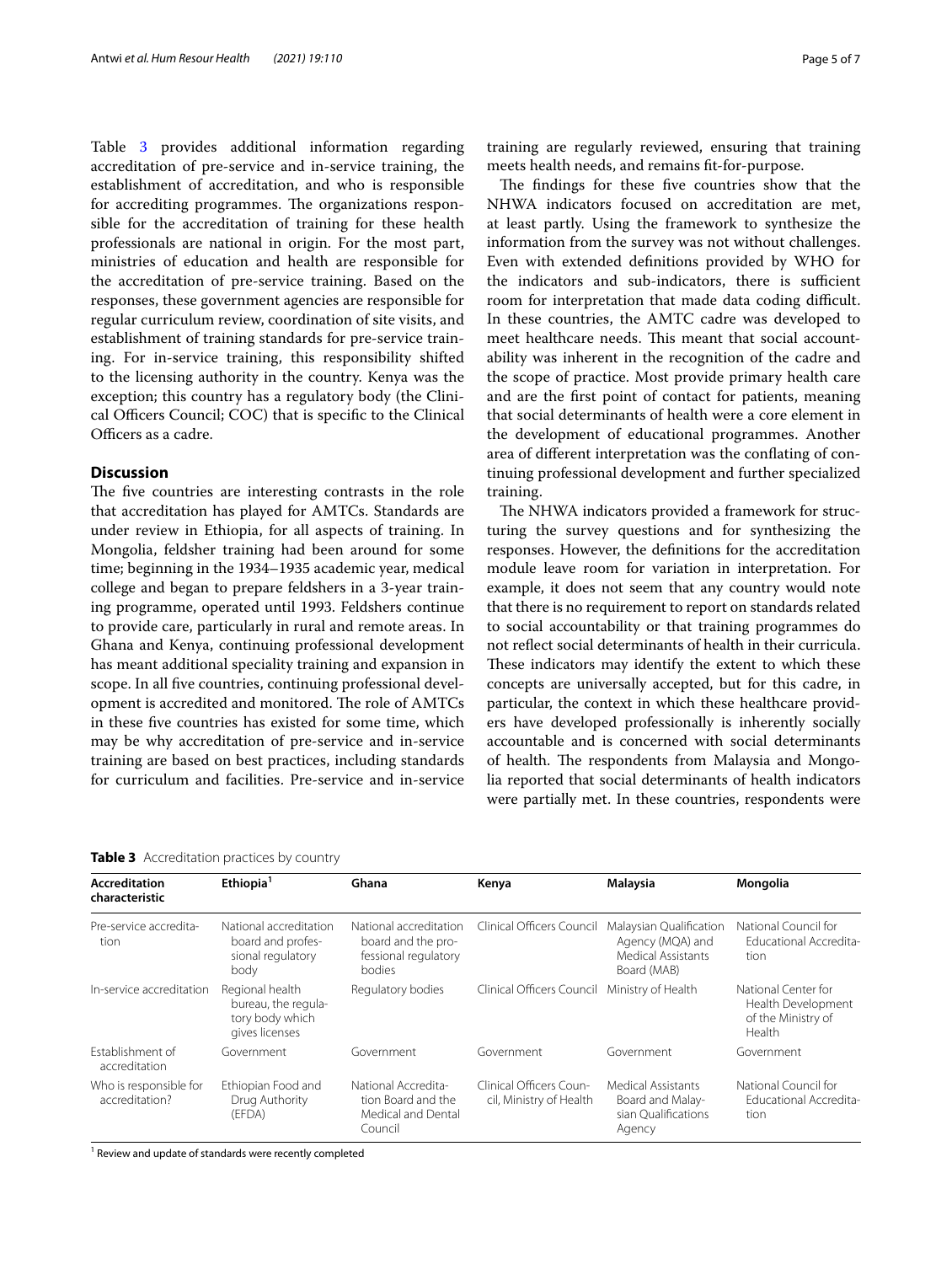Table [3](#page-4-0) provides additional information regarding accreditation of pre-service and in-service training, the establishment of accreditation, and who is responsible for accrediting programmes. The organizations responsible for the accreditation of training for these health professionals are national in origin. For the most part, ministries of education and health are responsible for the accreditation of pre-service training. Based on the responses, these government agencies are responsible for regular curriculum review, coordination of site visits, and establishment of training standards for pre-service training. For in-service training, this responsibility shifted to the licensing authority in the country. Kenya was the exception; this country has a regulatory body (the Clinical Officers Council; COC) that is specific to the Clinical Officers as a cadre.

# **Discussion**

The five countries are interesting contrasts in the role that accreditation has played for AMTCs. Standards are under review in Ethiopia, for all aspects of training. In Mongolia, feldsher training had been around for some time; beginning in the 1934–1935 academic year, medical college and began to prepare feldshers in a 3-year training programme, operated until 1993. Feldshers continue to provide care, particularly in rural and remote areas. In Ghana and Kenya, continuing professional development has meant additional speciality training and expansion in scope. In all fve countries, continuing professional development is accredited and monitored. The role of AMTCs in these fve countries has existed for some time, which may be why accreditation of pre-service and in-service training are based on best practices, including standards for curriculum and facilities. Pre-service and in-service

<span id="page-4-0"></span>

|  | Table 3 Accreditation practices by country |  |  |  |
|--|--------------------------------------------|--|--|--|
|--|--------------------------------------------|--|--|--|

training are regularly reviewed, ensuring that training meets health needs, and remains ft-for-purpose.

The findings for these five countries show that the NHWA indicators focused on accreditation are met, at least partly. Using the framework to synthesize the information from the survey was not without challenges. Even with extended defnitions provided by WHO for the indicators and sub-indicators, there is sufficient room for interpretation that made data coding difficult. In these countries, the AMTC cadre was developed to meet healthcare needs. This meant that social accountability was inherent in the recognition of the cadre and the scope of practice. Most provide primary health care and are the frst point of contact for patients, meaning that social determinants of health were a core element in the development of educational programmes. Another area of diferent interpretation was the confating of continuing professional development and further specialized training.

The NHWA indicators provided a framework for structuring the survey questions and for synthesizing the responses. However, the defnitions for the accreditation module leave room for variation in interpretation. For example, it does not seem that any country would note that there is no requirement to report on standards related to social accountability or that training programmes do not refect social determinants of health in their curricula. These indicators may identify the extent to which these concepts are universally accepted, but for this cadre, in particular, the context in which these healthcare providers have developed professionally is inherently socially accountable and is concerned with social determinants of health. The respondents from Malaysia and Mongolia reported that social determinants of health indicators were partially met. In these countries, respondents were

| <b>Accreditation</b><br>characteristic   | Ethiopia <sup>1</sup>                                                       | Ghana                                                                          | Kenya                                                                                                                | Malaysia                                                                       | Mongolia                                                                         |  |  |
|------------------------------------------|-----------------------------------------------------------------------------|--------------------------------------------------------------------------------|----------------------------------------------------------------------------------------------------------------------|--------------------------------------------------------------------------------|----------------------------------------------------------------------------------|--|--|
| Pre-service accredita-<br>tion           | National accreditation<br>board and profes-<br>sional regulatory<br>body    | National accreditation<br>board and the pro-<br>fessional regulatory<br>bodies | Clinical Officers Council<br>Malaysian Qualification<br>Agency (MQA) and<br><b>Medical Assistants</b><br>Board (MAB) |                                                                                | National Council for<br>Educational Accredita-<br>tion                           |  |  |
| In-service accreditation                 | Regional health<br>bureau, the regula-<br>tory body which<br>gives licenses | Regulatory bodies                                                              | Clinical Officers Council Ministry of Health                                                                         |                                                                                | National Center for<br>Health Development<br>of the Ministry of<br><b>Health</b> |  |  |
| Establishment of<br>accreditation        | Government                                                                  | Government                                                                     | Government                                                                                                           | Government                                                                     | Government                                                                       |  |  |
| Who is responsible for<br>accreditation? | Ethiopian Food and<br>Drug Authority<br>(EFDA)                              | National Accredita-<br>tion Board and the<br>Medical and Dental<br>Council     | Clinical Officers Coun-<br>cil, Ministry of Health                                                                   | <b>Medical Assistants</b><br>Board and Malay-<br>sian Qualifications<br>Agency | National Council for<br>Educational Accredita-<br>tion                           |  |  |

<sup>1</sup> Review and update of standards were recently completed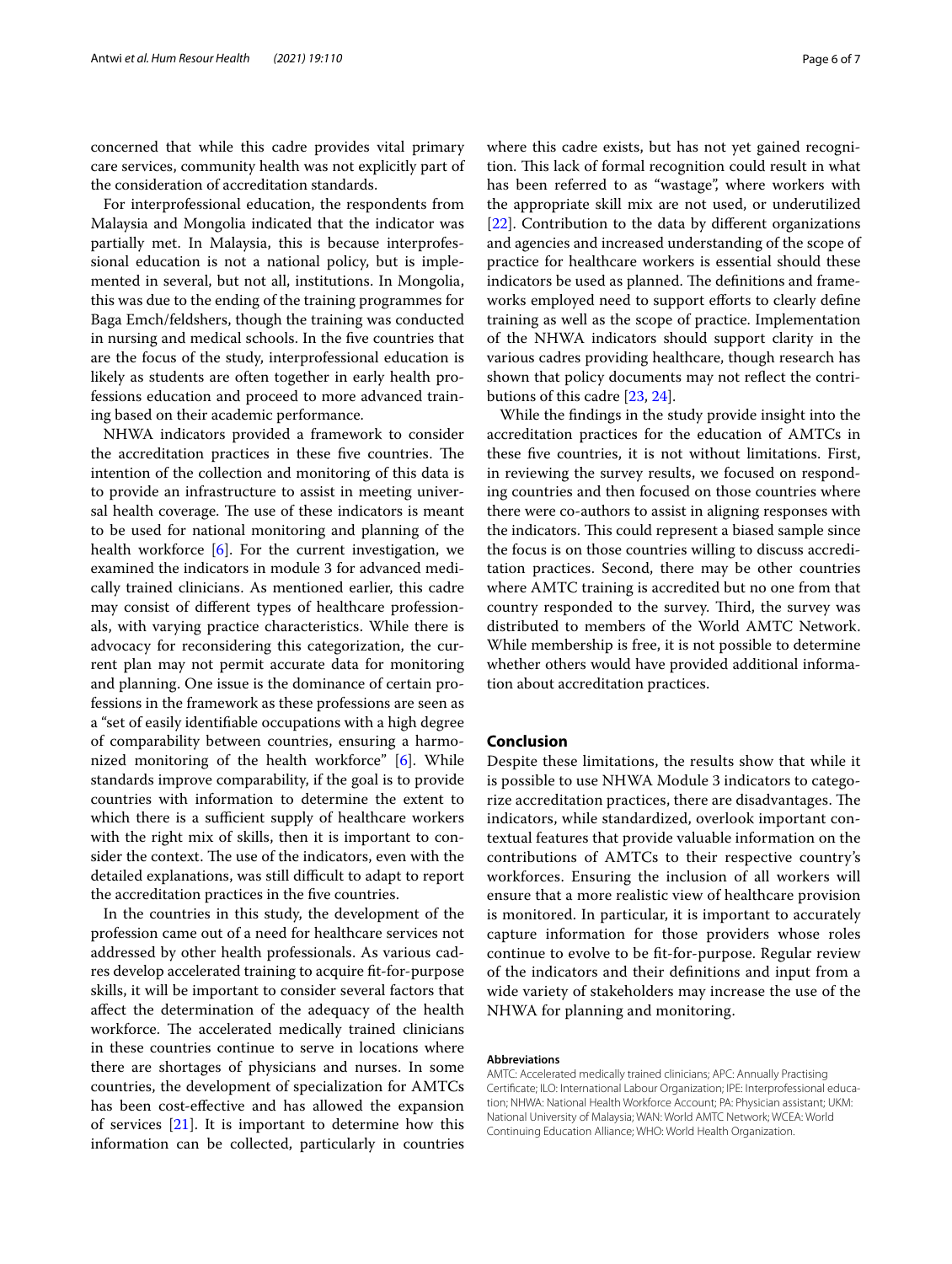concerned that while this cadre provides vital primary care services, community health was not explicitly part of the consideration of accreditation standards.

For interprofessional education, the respondents from Malaysia and Mongolia indicated that the indicator was partially met. In Malaysia, this is because interprofessional education is not a national policy, but is implemented in several, but not all, institutions. In Mongolia, this was due to the ending of the training programmes for Baga Emch/feldshers, though the training was conducted in nursing and medical schools. In the fve countries that are the focus of the study, interprofessional education is likely as students are often together in early health professions education and proceed to more advanced training based on their academic performance.

NHWA indicators provided a framework to consider the accreditation practices in these five countries. The intention of the collection and monitoring of this data is to provide an infrastructure to assist in meeting universal health coverage. The use of these indicators is meant to be used for national monitoring and planning of the health workforce  $[6]$  $[6]$ . For the current investigation, we examined the indicators in module 3 for advanced medically trained clinicians. As mentioned earlier, this cadre may consist of diferent types of healthcare professionals, with varying practice characteristics. While there is advocacy for reconsidering this categorization, the current plan may not permit accurate data for monitoring and planning. One issue is the dominance of certain professions in the framework as these professions are seen as a "set of easily identifable occupations with a high degree of comparability between countries, ensuring a harmonized monitoring of the health workforce" [\[6](#page-6-5)]. While standards improve comparability, if the goal is to provide countries with information to determine the extent to which there is a sufficient supply of healthcare workers with the right mix of skills, then it is important to consider the context. The use of the indicators, even with the detailed explanations, was still difficult to adapt to report the accreditation practices in the fve countries.

In the countries in this study, the development of the profession came out of a need for healthcare services not addressed by other health professionals. As various cadres develop accelerated training to acquire ft-for-purpose skills, it will be important to consider several factors that afect the determination of the adequacy of the health workforce. The accelerated medically trained clinicians in these countries continue to serve in locations where there are shortages of physicians and nurses. In some countries, the development of specialization for AMTCs has been cost-efective and has allowed the expansion of services  $[21]$  $[21]$ . It is important to determine how this information can be collected, particularly in countries where this cadre exists, but has not yet gained recognition. This lack of formal recognition could result in what has been referred to as "wastage", where workers with the appropriate skill mix are not used, or underutilized [[22\]](#page-6-19). Contribution to the data by diferent organizations and agencies and increased understanding of the scope of practice for healthcare workers is essential should these indicators be used as planned. The definitions and frameworks employed need to support efforts to clearly define training as well as the scope of practice. Implementation of the NHWA indicators should support clarity in the various cadres providing healthcare, though research has shown that policy documents may not refect the contributions of this cadre [\[23](#page-6-20), [24\]](#page-6-21).

While the fndings in the study provide insight into the accreditation practices for the education of AMTCs in these fve countries, it is not without limitations. First, in reviewing the survey results, we focused on responding countries and then focused on those countries where there were co-authors to assist in aligning responses with the indicators. This could represent a biased sample since the focus is on those countries willing to discuss accreditation practices. Second, there may be other countries where AMTC training is accredited but no one from that country responded to the survey. Third, the survey was distributed to members of the World AMTC Network. While membership is free, it is not possible to determine whether others would have provided additional information about accreditation practices.

## **Conclusion**

Despite these limitations, the results show that while it is possible to use NHWA Module 3 indicators to categorize accreditation practices, there are disadvantages. The indicators, while standardized, overlook important contextual features that provide valuable information on the contributions of AMTCs to their respective country's workforces. Ensuring the inclusion of all workers will ensure that a more realistic view of healthcare provision is monitored. In particular, it is important to accurately capture information for those providers whose roles continue to evolve to be ft-for-purpose. Regular review of the indicators and their defnitions and input from a wide variety of stakeholders may increase the use of the NHWA for planning and monitoring.

## **Abbreviations**

AMTC: Accelerated medically trained clinicians; APC: Annually Practising Certifcate; ILO: International Labour Organization; IPE: Interprofessional education; NHWA: National Health Workforce Account; PA: Physician assistant; UKM: National University of Malaysia; WAN: World AMTC Network; WCEA: World Continuing Education Alliance; WHO: World Health Organization.